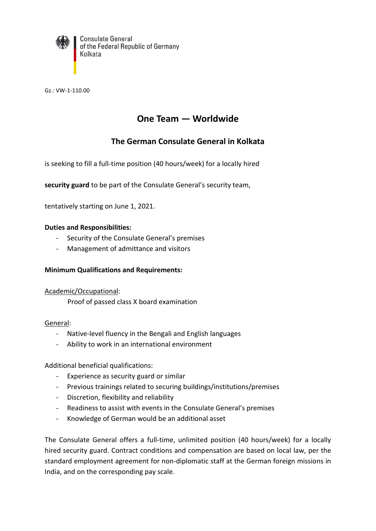

**Consulate General** of the Federal Republic of Germany Kolkata

Gz.: VW-1-110.00

# **One Team — Worldwide**

## **The German Consulate General in Kolkata**

is seeking to fill a full-time position (40 hours/week) for a locally hired

**security guard** to be part of the Consulate General's security team,

tentatively starting on June 1, 2021.

#### **Duties and Responsibilities:**

- Security of the Consulate General's premises
- Management of admittance and visitors

#### **Minimum Qualifications and Requirements:**

#### Academic/Occupational:

Proof of passed class X board examination

#### General:

- Native-level fluency in the Bengali and English languages
- Ability to work in an international environment

Additional beneficial qualifications:

- Experience as security guard or similar
- Previous trainings related to securing buildings/institutions/premises
- Discretion, flexibility and reliability
- Readiness to assist with events in the Consulate General's premises
- Knowledge of German would be an additional asset

The Consulate General offers a full-time, unlimited position (40 hours/week) for a locally hired security guard. Contract conditions and compensation are based on local law, per the standard employment agreement for non-diplomatic staff at the German foreign missions in India, and on the corresponding pay scale.